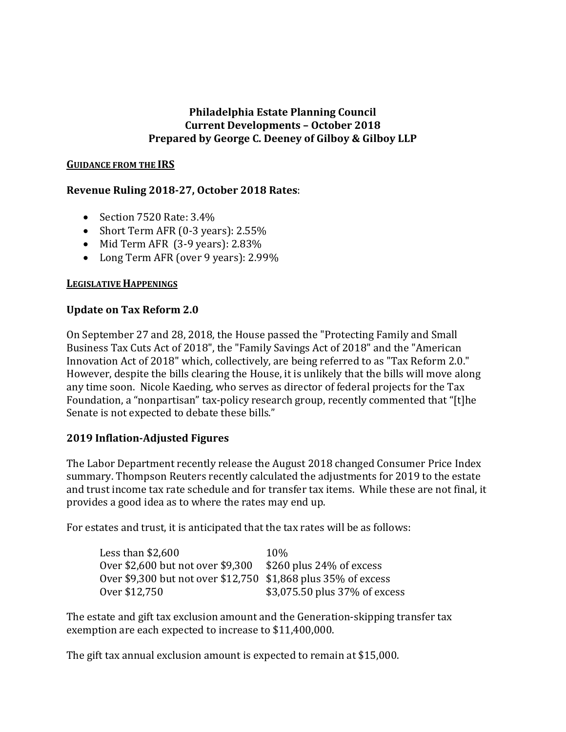## **Philadelphia Estate Planning Council Current Developments – October 2018 Prepared by George C. Deeney of Gilboy & Gilboy LLP**

#### **GUIDANCE FROM THE IRS**

# **Revenue Ruling 2018-27, October 2018 Rates**:

- Section 7520 Rate: 3.4%
- Short Term AFR (0-3 years): 2.55%
- Mid Term AFR (3-9 years): 2.83%
- Long Term AFR (over 9 years): 2.99%

### **LEGISLATIVE HAPPENINGS**

## **Update on Tax Reform 2.0**

On September 27 and 28, 2018, the House passed the "Protecting Family and Small Business Tax Cuts Act of 2018", the "Family Savings Act of 2018" and the "American Innovation Act of 2018" which, collectively, are being referred to as "Tax Reform 2.0." However, despite the bills clearing the House, it is unlikely that the bills will move along any time soon. Nicole Kaeding, who serves as director of federal projects for the Tax Foundation, a "nonpartisan" tax-policy research group, recently commented that "[t]he Senate is not expected to debate these bills."

## **2019 Inflation-Adjusted Figures**

The Labor Department recently release the August 2018 changed Consumer Price Index summary. Thompson Reuters recently calculated the adjustments for 2019 to the estate and trust income tax rate schedule and for transfer tax items. While these are not final, it provides a good idea as to where the rates may end up.

For estates and trust, it is anticipated that the tax rates will be as follows:

| Less than \$2,600                                             | 10%                           |
|---------------------------------------------------------------|-------------------------------|
| Over \$2,600 but not over \$9,300 \$260 plus 24% of excess    |                               |
| Over \$9,300 but not over \$12,750 \$1,868 plus 35% of excess |                               |
| 0ver \$12,750                                                 | \$3,075.50 plus 37% of excess |

The estate and gift tax exclusion amount and the Generation-skipping transfer tax exemption are each expected to increase to \$11,400,000.

The gift tax annual exclusion amount is expected to remain at \$15,000.